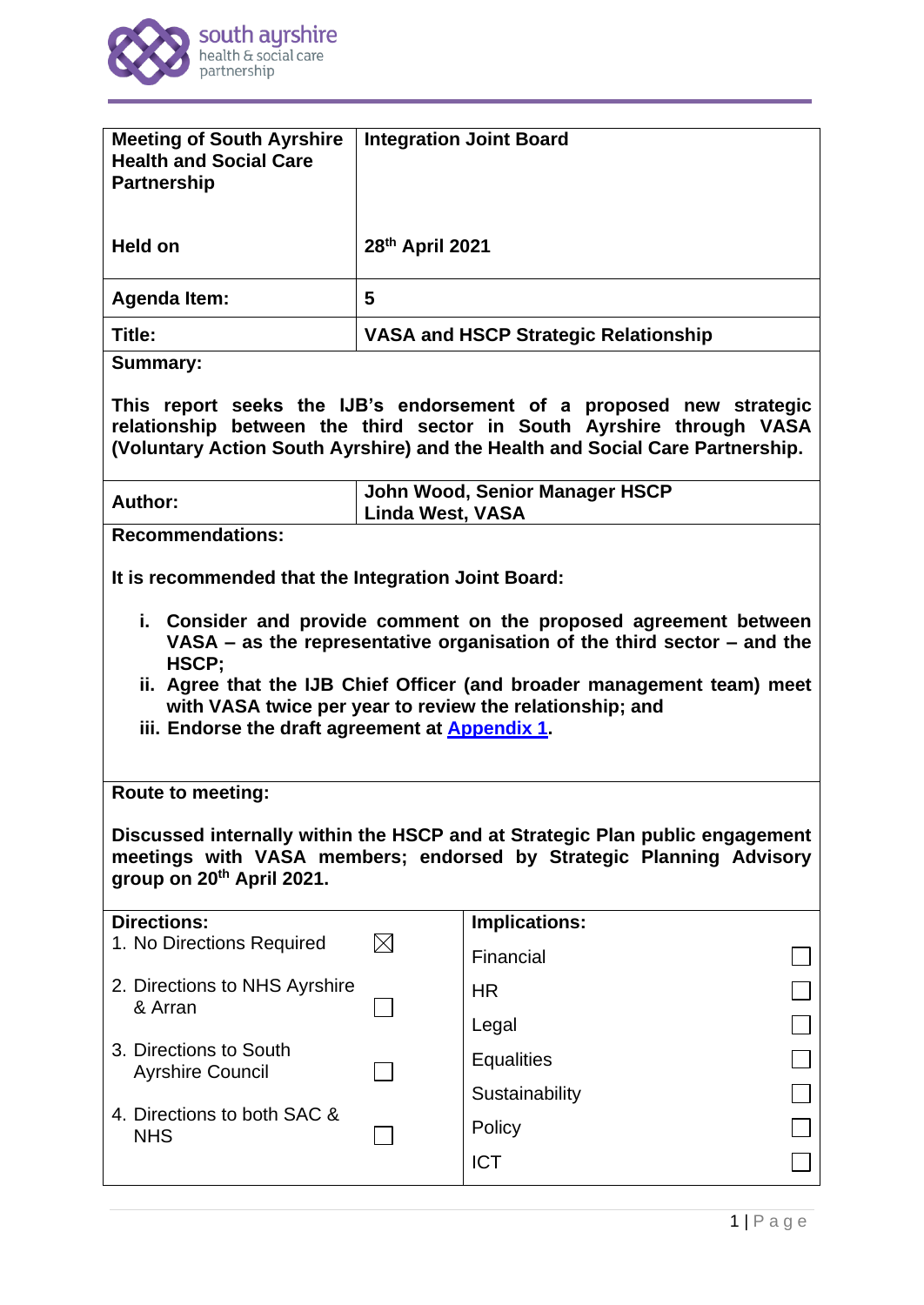

| <b>Meeting of South Ayrshire</b><br><b>Health and Social Care</b><br><b>Partnership</b>                                                                                                                                                                                                                                                                                                                    |                                             | <b>Integration Joint Board</b>        |  |
|------------------------------------------------------------------------------------------------------------------------------------------------------------------------------------------------------------------------------------------------------------------------------------------------------------------------------------------------------------------------------------------------------------|---------------------------------------------|---------------------------------------|--|
| Held on                                                                                                                                                                                                                                                                                                                                                                                                    | 28th April 2021                             |                                       |  |
| <b>Agenda Item:</b>                                                                                                                                                                                                                                                                                                                                                                                        | 5                                           |                                       |  |
| Title:                                                                                                                                                                                                                                                                                                                                                                                                     | <b>VASA and HSCP Strategic Relationship</b> |                                       |  |
| <b>Summary:</b>                                                                                                                                                                                                                                                                                                                                                                                            |                                             |                                       |  |
| This report seeks the IJB's endorsement of a proposed new strategic<br>relationship between the third sector in South Ayrshire through VASA<br>(Voluntary Action South Ayrshire) and the Health and Social Care Partnership.                                                                                                                                                                               |                                             |                                       |  |
| Author:                                                                                                                                                                                                                                                                                                                                                                                                    | <b>Linda West, VASA</b>                     | <b>John Wood, Senior Manager HSCP</b> |  |
| <b>Recommendations:</b>                                                                                                                                                                                                                                                                                                                                                                                    |                                             |                                       |  |
| It is recommended that the Integration Joint Board:<br>i. Consider and provide comment on the proposed agreement between<br>VASA $-$ as the representative organisation of the third sector $-$ and the<br>HSCP;<br>ii. Agree that the IJB Chief Officer (and broader management team) meet<br>with VASA twice per year to review the relationship; and<br>iii. Endorse the draft agreement at Appendix 1. |                                             |                                       |  |
| <b>Route to meeting:</b>                                                                                                                                                                                                                                                                                                                                                                                   |                                             |                                       |  |
| Discussed internally within the HSCP and at Strategic Plan public engagement<br>meetings with VASA members; endorsed by Strategic Planning Advisory<br>group on 20th April 2021.                                                                                                                                                                                                                           |                                             |                                       |  |
| <b>Directions:</b>                                                                                                                                                                                                                                                                                                                                                                                         |                                             | <b>Implications:</b>                  |  |
| 1. No Directions Required                                                                                                                                                                                                                                                                                                                                                                                  | $\bowtie$                                   | Financial                             |  |
| 2. Directions to NHS Ayrshire<br>& Arran                                                                                                                                                                                                                                                                                                                                                                   |                                             | <b>HR</b>                             |  |
|                                                                                                                                                                                                                                                                                                                                                                                                            |                                             | Legal                                 |  |
| 3. Directions to South<br><b>Ayrshire Council</b>                                                                                                                                                                                                                                                                                                                                                          |                                             |                                       |  |
|                                                                                                                                                                                                                                                                                                                                                                                                            |                                             | <b>Equalities</b>                     |  |
|                                                                                                                                                                                                                                                                                                                                                                                                            |                                             | Sustainability                        |  |
| 4. Directions to both SAC &<br><b>NHS</b>                                                                                                                                                                                                                                                                                                                                                                  |                                             | Policy                                |  |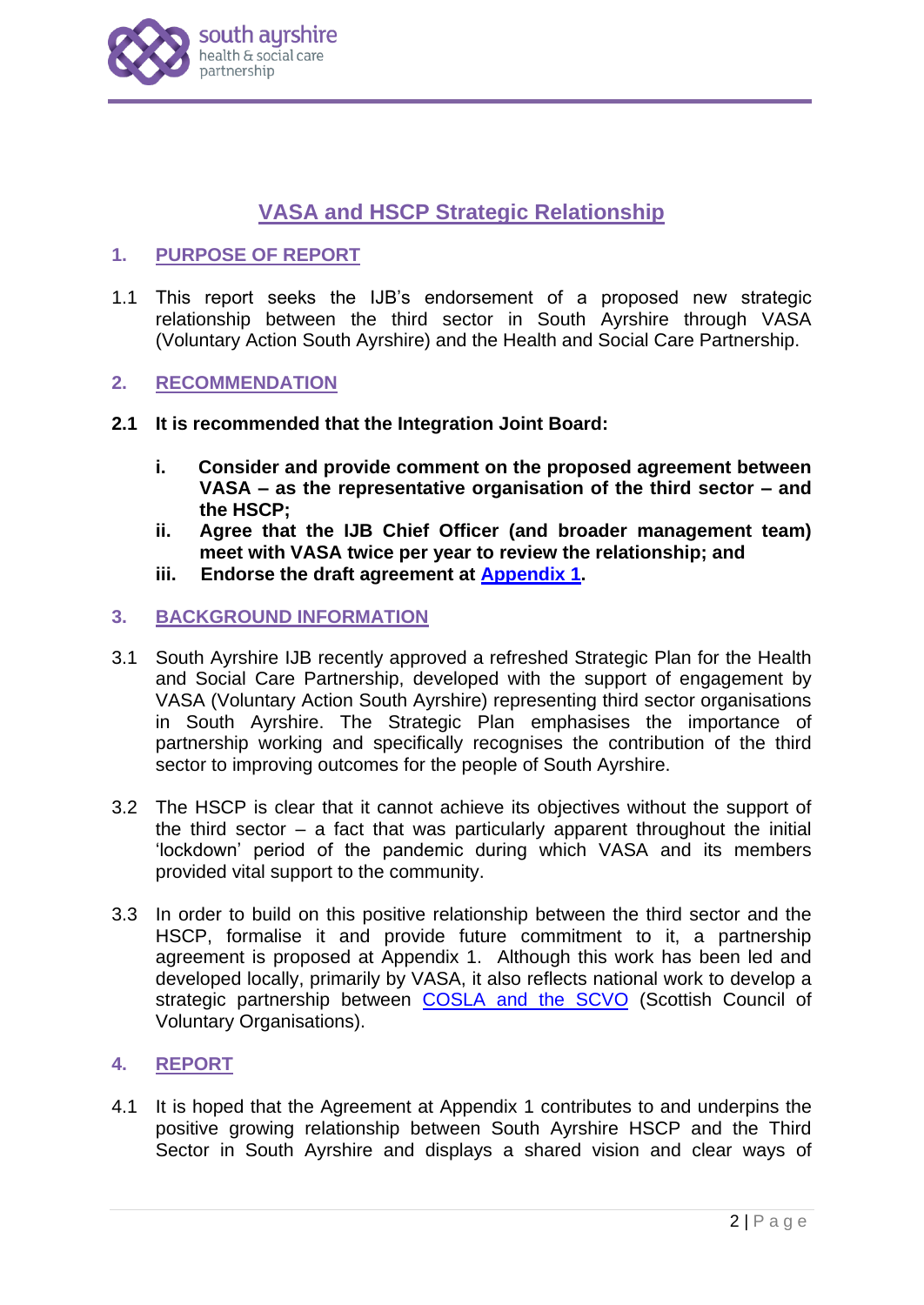

# **VASA and HSCP Strategic Relationship**

## **1. PURPOSE OF REPORT**

1.1 This report seeks the IJB's endorsement of a proposed new strategic relationship between the third sector in South Ayrshire through VASA (Voluntary Action South Ayrshire) and the Health and Social Care Partnership.

#### **2. RECOMMENDATION**

- **2.1 It is recommended that the Integration Joint Board:**
	- **i. Consider and provide comment on the proposed agreement between VASA – as the representative organisation of the third sector – and the HSCP;**
	- **ii. Agree that the IJB Chief Officer (and broader management team) meet with VASA twice per year to review the relationship; and**
	- **iii. Endorse the draft agreement at [Appendix 1.](http://www.south-ayrshire.gov.uk/health-social-care-partnership/documents/Item%205%20-%20HSCP%20Agreement%20with%20Third%20Sector%20APP%201%20IJB%202021%2004%2028.pdf)**

#### **3. BACKGROUND INFORMATION**

- 3.1 South Ayrshire IJB recently approved a refreshed Strategic Plan for the Health and Social Care Partnership, developed with the support of engagement by VASA (Voluntary Action South Ayrshire) representing third sector organisations in South Ayrshire. The Strategic Plan emphasises the importance of partnership working and specifically recognises the contribution of the third sector to improving outcomes for the people of South Ayrshire.
- 3.2 The HSCP is clear that it cannot achieve its objectives without the support of the third sector  $-$  a fact that was particularly apparent throughout the initial 'lockdown' period of the pandemic during which VASA and its members provided vital support to the community.
- 3.3 In order to build on this positive relationship between the third sector and the HSCP, formalise it and provide future commitment to it, a partnership agreement is proposed at Appendix 1. Although this work has been led and developed locally, primarily by VASA, it also reflects national work to develop a strategic partnership between [COSLA and the SCVO](https://scvo.scot/p/42681/2021/03/15/scvo-enters-new-strategic-partnership) (Scottish Council of Voluntary Organisations).

## **4. REPORT**

4.1 It is hoped that the Agreement at Appendix 1 contributes to and underpins the positive growing relationship between South Ayrshire HSCP and the Third Sector in South Ayrshire and displays a shared vision and clear ways of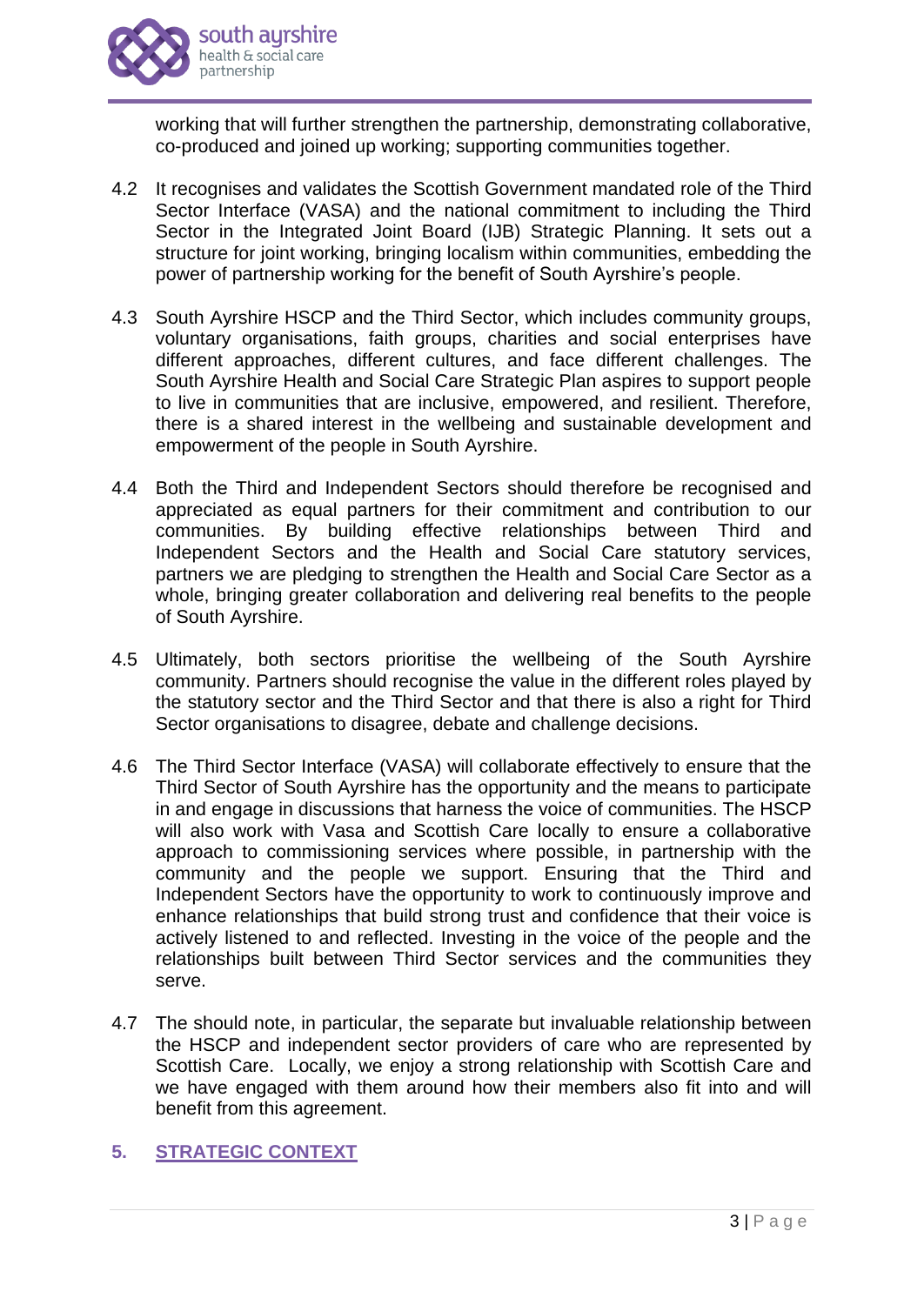

working that will further strengthen the partnership, demonstrating collaborative, co-produced and joined up working; supporting communities together.

- 4.2 It recognises and validates the Scottish Government mandated role of the Third Sector Interface (VASA) and the national commitment to including the Third Sector in the Integrated Joint Board (IJB) Strategic Planning. It sets out a structure for joint working, bringing localism within communities, embedding the power of partnership working for the benefit of South Ayrshire's people.
- 4.3 South Ayrshire HSCP and the Third Sector, which includes community groups, voluntary organisations, faith groups, charities and social enterprises have different approaches, different cultures, and face different challenges. The South Ayrshire Health and Social Care Strategic Plan aspires to support people to live in communities that are inclusive, empowered, and resilient. Therefore, there is a shared interest in the wellbeing and sustainable development and empowerment of the people in South Ayrshire.
- 4.4 Both the Third and Independent Sectors should therefore be recognised and appreciated as equal partners for their commitment and contribution to our communities. By building effective relationships between Third and Independent Sectors and the Health and Social Care statutory services, partners we are pledging to strengthen the Health and Social Care Sector as a whole, bringing greater collaboration and delivering real benefits to the people of South Ayrshire.
- 4.5 Ultimately, both sectors prioritise the wellbeing of the South Ayrshire community. Partners should recognise the value in the different roles played by the statutory sector and the Third Sector and that there is also a right for Third Sector organisations to disagree, debate and challenge decisions.
- 4.6 The Third Sector Interface (VASA) will collaborate effectively to ensure that the Third Sector of South Ayrshire has the opportunity and the means to participate in and engage in discussions that harness the voice of communities. The HSCP will also work with Vasa and Scottish Care locally to ensure a collaborative approach to commissioning services where possible, in partnership with the community and the people we support. Ensuring that the Third and Independent Sectors have the opportunity to work to continuously improve and enhance relationships that build strong trust and confidence that their voice is actively listened to and reflected. Investing in the voice of the people and the relationships built between Third Sector services and the communities they serve.
- 4.7 The should note, in particular, the separate but invaluable relationship between the HSCP and independent sector providers of care who are represented by Scottish Care. Locally, we enjoy a strong relationship with Scottish Care and we have engaged with them around how their members also fit into and will benefit from this agreement.

# **5. STRATEGIC CONTEXT**